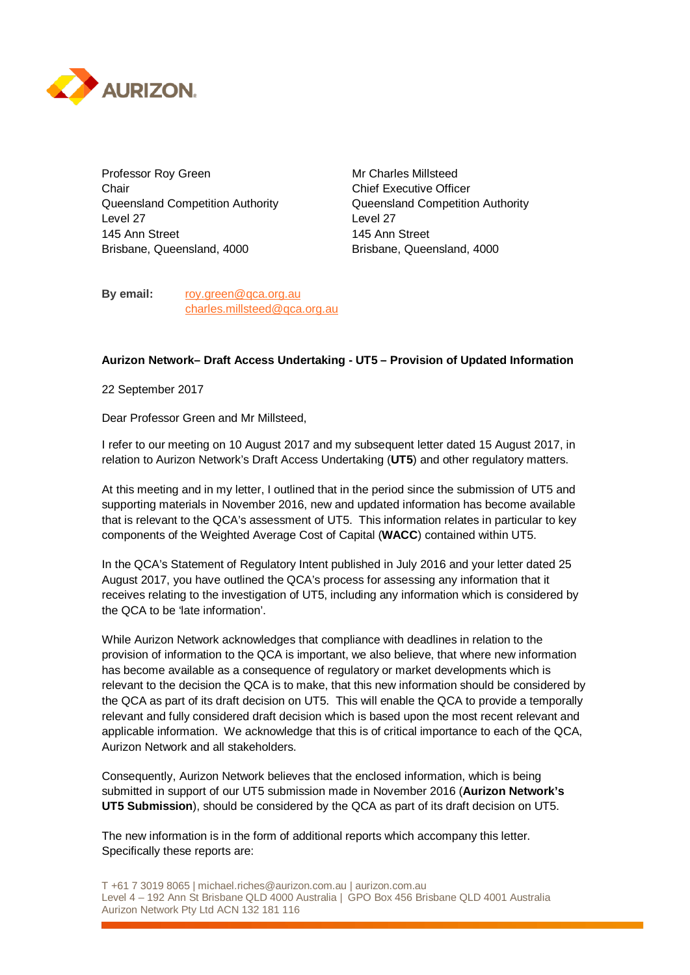

Professor Roy Green Mr Charles Millsteed Chair Chair Chair Chief Executive Officer Queensland Competition Authority Queensland Competition Authority Level 27 Level 27 145 Ann Street 145 Ann Street Brisbane, Queensland, 4000 Brisbane, Queensland, 4000

**By email:** roy.green@qca.org.au charles.millsteed@qca.org.au

## **Aurizon Network– Draft Access Undertaking - UT5 – Provision of Updated Information**

22 September 2017

Dear Professor Green and Mr Millsteed,

I refer to our meeting on 10 August 2017 and my subsequent letter dated 15 August 2017, in relation to Aurizon Network's Draft Access Undertaking (**UT5**) and other regulatory matters.

At this meeting and in my letter, I outlined that in the period since the submission of UT5 and supporting materials in November 2016, new and updated information has become available that is relevant to the QCA's assessment of UT5. This information relates in particular to key components of the Weighted Average Cost of Capital (**WACC**) contained within UT5.

In the QCA's Statement of Regulatory Intent published in July 2016 and your letter dated 25 August 2017, you have outlined the QCA's process for assessing any information that it receives relating to the investigation of UT5, including any information which is considered by the QCA to be 'late information'.

While Aurizon Network acknowledges that compliance with deadlines in relation to the provision of information to the QCA is important, we also believe, that where new information has become available as a consequence of regulatory or market developments which is relevant to the decision the QCA is to make, that this new information should be considered by the QCA as part of its draft decision on UT5. This will enable the QCA to provide a temporally relevant and fully considered draft decision which is based upon the most recent relevant and applicable information. We acknowledge that this is of critical importance to each of the QCA, Aurizon Network and all stakeholders.

Consequently, Aurizon Network believes that the enclosed information, which is being submitted in support of our UT5 submission made in November 2016 (**Aurizon Network's UT5 Submission**), should be considered by the QCA as part of its draft decision on UT5.

The new information is in the form of additional reports which accompany this letter. Specifically these reports are:

T +61 7 3019 8065 | michael.riches@aurizon.com.au | aurizon.com.au Level 4 – 192 Ann St Brisbane QLD 4000 Australia | GPO Box 456 Brisbane QLD 4001 Australia Aurizon Network Pty Ltd ACN 132 181 116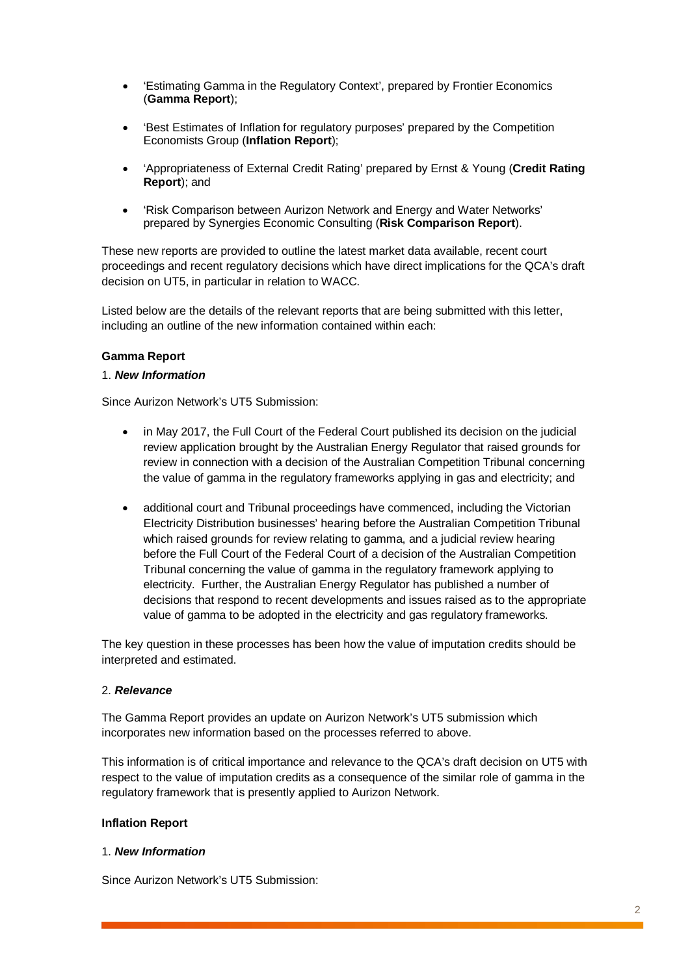- 'Estimating Gamma in the Regulatory Context', prepared by Frontier Economics (**Gamma Report**);
- 'Best Estimates of Inflation for regulatory purposes' prepared by the Competition Economists Group (**Inflation Report**);
- 'Appropriateness of External Credit Rating' prepared by Ernst & Young (**Credit Rating Report**); and
- 'Risk Comparison between Aurizon Network and Energy and Water Networks' prepared by Synergies Economic Consulting (**Risk Comparison Report**).

These new reports are provided to outline the latest market data available, recent court proceedings and recent regulatory decisions which have direct implications for the QCA's draft decision on UT5, in particular in relation to WACC.

Listed below are the details of the relevant reports that are being submitted with this letter, including an outline of the new information contained within each:

## **Gamma Report**

### 1. *New Information*

Since Aurizon Network's UT5 Submission:

- in May 2017, the Full Court of the Federal Court published its decision on the judicial review application brought by the Australian Energy Regulator that raised grounds for review in connection with a decision of the Australian Competition Tribunal concerning the value of gamma in the regulatory frameworks applying in gas and electricity; and
- additional court and Tribunal proceedings have commenced, including the Victorian Electricity Distribution businesses' hearing before the Australian Competition Tribunal which raised grounds for review relating to gamma, and a judicial review hearing before the Full Court of the Federal Court of a decision of the Australian Competition Tribunal concerning the value of gamma in the regulatory framework applying to electricity. Further, the Australian Energy Regulator has published a number of decisions that respond to recent developments and issues raised as to the appropriate value of gamma to be adopted in the electricity and gas regulatory frameworks.

The key question in these processes has been how the value of imputation credits should be interpreted and estimated.

## 2. *Relevance*

The Gamma Report provides an update on Aurizon Network's UT5 submission which incorporates new information based on the processes referred to above.

This information is of critical importance and relevance to the QCA's draft decision on UT5 with respect to the value of imputation credits as a consequence of the similar role of gamma in the regulatory framework that is presently applied to Aurizon Network.

### **Inflation Report**

### 1. *New Information*

Since Aurizon Network's UT5 Submission: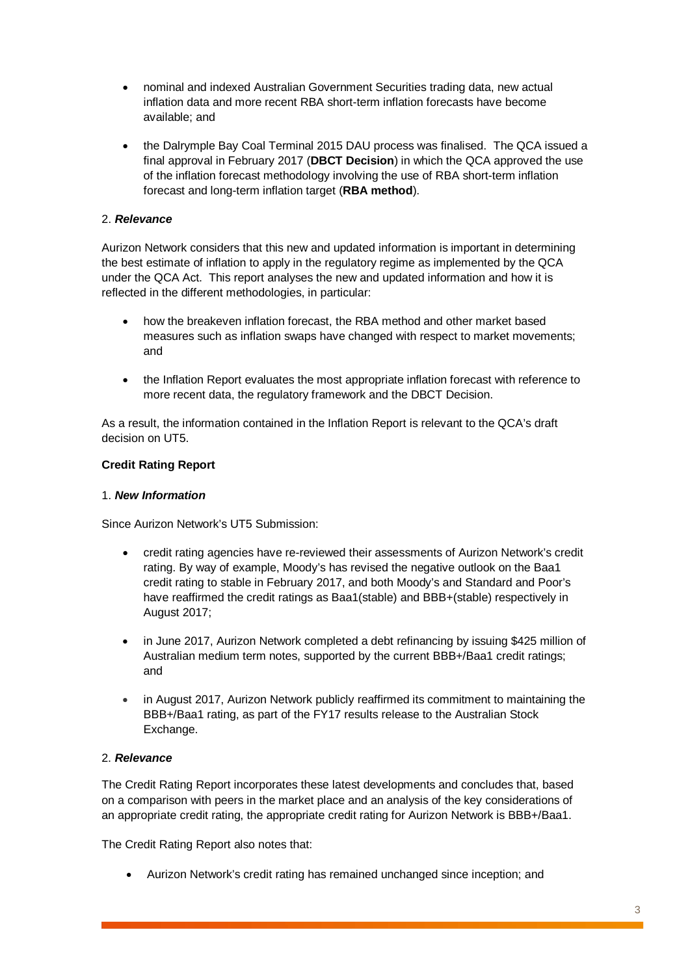- nominal and indexed Australian Government Securities trading data, new actual inflation data and more recent RBA short-term inflation forecasts have become available; and
- the Dalrymple Bay Coal Terminal 2015 DAU process was finalised. The QCA issued a final approval in February 2017 (**DBCT Decision**) in which the QCA approved the use of the inflation forecast methodology involving the use of RBA short-term inflation forecast and long-term inflation target (**RBA method**).

# 2. *Relevance*

Aurizon Network considers that this new and updated information is important in determining the best estimate of inflation to apply in the regulatory regime as implemented by the QCA under the QCA Act. This report analyses the new and updated information and how it is reflected in the different methodologies, in particular:

- how the breakeven inflation forecast, the RBA method and other market based measures such as inflation swaps have changed with respect to market movements; and
- the Inflation Report evaluates the most appropriate inflation forecast with reference to more recent data, the regulatory framework and the DBCT Decision.

As a result, the information contained in the Inflation Report is relevant to the QCA's draft decision on UT5.

# **Credit Rating Report**

## 1. *New Information*

Since Aurizon Network's UT5 Submission:

- credit rating agencies have re-reviewed their assessments of Aurizon Network's credit rating. By way of example, Moody's has revised the negative outlook on the Baa1 credit rating to stable in February 2017, and both Moody's and Standard and Poor's have reaffirmed the credit ratings as Baa1(stable) and BBB+(stable) respectively in August 2017;
- in June 2017, Aurizon Network completed a debt refinancing by issuing \$425 million of Australian medium term notes, supported by the current BBB+/Baa1 credit ratings; and
- in August 2017, Aurizon Network publicly reaffirmed its commitment to maintaining the BBB+/Baa1 rating, as part of the FY17 results release to the Australian Stock Exchange.

# 2. *Relevance*

The Credit Rating Report incorporates these latest developments and concludes that, based on a comparison with peers in the market place and an analysis of the key considerations of an appropriate credit rating, the appropriate credit rating for Aurizon Network is BBB+/Baa1.

The Credit Rating Report also notes that:

• Aurizon Network's credit rating has remained unchanged since inception; and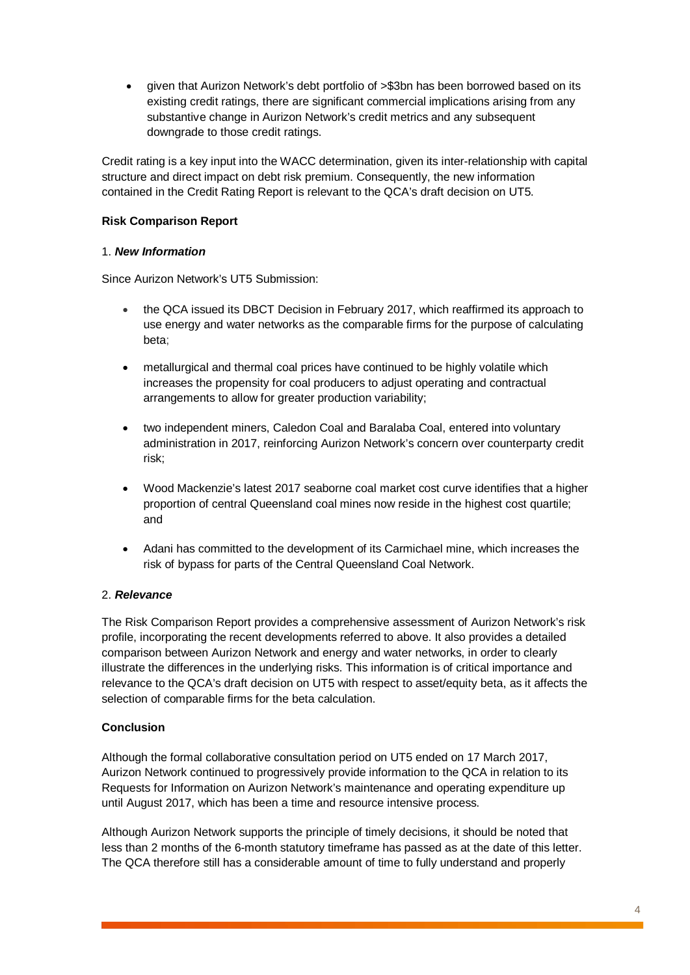• given that Aurizon Network's debt portfolio of >\$3bn has been borrowed based on its existing credit ratings, there are significant commercial implications arising from any substantive change in Aurizon Network's credit metrics and any subsequent downgrade to those credit ratings.

Credit rating is a key input into the WACC determination, given its inter-relationship with capital structure and direct impact on debt risk premium. Consequently, the new information contained in the Credit Rating Report is relevant to the QCA's draft decision on UT5.

# **Risk Comparison Report**

# 1. *New Information*

Since Aurizon Network's UT5 Submission:

- the QCA issued its DBCT Decision in February 2017, which reaffirmed its approach to use energy and water networks as the comparable firms for the purpose of calculating beta;
- metallurgical and thermal coal prices have continued to be highly volatile which increases the propensity for coal producers to adjust operating and contractual arrangements to allow for greater production variability;
- two independent miners, Caledon Coal and Baralaba Coal, entered into voluntary administration in 2017, reinforcing Aurizon Network's concern over counterparty credit risk;
- Wood Mackenzie's latest 2017 seaborne coal market cost curve identifies that a higher proportion of central Queensland coal mines now reside in the highest cost quartile; and
- Adani has committed to the development of its Carmichael mine, which increases the risk of bypass for parts of the Central Queensland Coal Network.

# 2. *Relevance*

The Risk Comparison Report provides a comprehensive assessment of Aurizon Network's risk profile, incorporating the recent developments referred to above. It also provides a detailed comparison between Aurizon Network and energy and water networks, in order to clearly illustrate the differences in the underlying risks. This information is of critical importance and relevance to the QCA's draft decision on UT5 with respect to asset/equity beta, as it affects the selection of comparable firms for the beta calculation.

# **Conclusion**

Although the formal collaborative consultation period on UT5 ended on 17 March 2017, Aurizon Network continued to progressively provide information to the QCA in relation to its Requests for Information on Aurizon Network's maintenance and operating expenditure up until August 2017, which has been a time and resource intensive process.

Although Aurizon Network supports the principle of timely decisions, it should be noted that less than 2 months of the 6-month statutory timeframe has passed as at the date of this letter. The QCA therefore still has a considerable amount of time to fully understand and properly